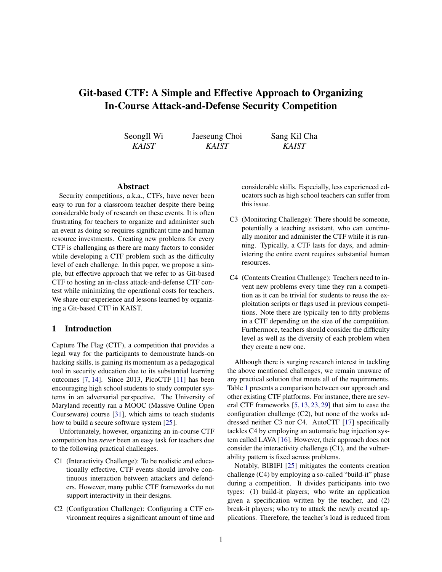# Git-based CTF: A Simple and Effective Approach to Organizing In-Course Attack-and-Defense Security Competition

| SeongIl Wi | Jaeseung Choi | Sang Kil Cha |  |
|------------|---------------|--------------|--|
| KAIST      | KAIST         | <b>KAIST</b> |  |

#### Abstract

Security competitions, a.k.a., CTFs, have never been easy to run for a classroom teacher despite there being considerable body of research on these events. It is often frustrating for teachers to organize and administer such an event as doing so requires significant time and human resource investments. Creating new problems for every CTF is challenging as there are many factors to consider while developing a CTF problem such as the difficulty level of each challenge. In this paper, we propose a simple, but effective approach that we refer to as Git-based CTF to hosting an in-class attack-and-defense CTF contest while minimizing the operational costs for teachers. We share our experience and lessons learned by organizing a Git-based CTF in KAIST.

#### <span id="page-0-0"></span>1 Introduction

Capture The Flag (CTF), a competition that provides a legal way for the participants to demonstrate hands-on hacking skills, is gaining its momentum as a pedagogical tool in security education due to its substantial learning outcomes [\[7,](#page-7-0) [14\]](#page-8-0). Since 2013, PicoCTF [\[11\]](#page-8-1) has been encouraging high school students to study computer systems in an adversarial perspective. The University of Maryland recently ran a MOOC (Massive Online Open Courseware) course [\[31\]](#page-8-2), which aims to teach students how to build a secure software system [\[25\]](#page-8-3).

Unfortunately, however, organizing an in-course CTF competition has *never* been an easy task for teachers due to the following practical challenges.

- C1 (Interactivity Challenge): To be realistic and educationally effective, CTF events should involve continuous interaction between attackers and defenders. However, many public CTF frameworks do not support interactivity in their designs.
- C2 (Configuration Challenge): Configuring a CTF environment requires a significant amount of time and

considerable skills. Especially, less experienced educators such as high school teachers can suffer from this issue.

- C3 (Monitoring Challenge): There should be someone, potentially a teaching assistant, who can continually monitor and administer the CTF while it is running. Typically, a CTF lasts for days, and administering the entire event requires substantial human resources.
- C4 (Contents Creation Challenge): Teachers need to invent new problems every time they run a competition as it can be trivial for students to reuse the exploitation scripts or flags used in previous competitions. Note there are typically ten to fifty problems in a CTF depending on the size of the competition. Furthermore, teachers should consider the difficulty level as well as the diversity of each problem when they create a new one.

Although there is surging research interest in tackling the above mentioned challenges, we remain unaware of any practical solution that meets all of the requirements. Table [1](#page-1-0) presents a comparison between our approach and other existing CTF platforms. For instance, there are several CTF frameworks [\[5,](#page-7-1) [13,](#page-8-4) [23,](#page-8-5) [29\]](#page-8-6) that aim to ease the configuration challenge (C2), but none of the works addressed neither C3 nor C4. AutoCTF [\[17\]](#page-8-7) specifically tackles C4 by employing an automatic bug injection system called LAVA [\[16\]](#page-8-8). However, their approach does not consider the interactivity challenge (C1), and the vulnerability pattern is fixed across problems.

Notably, BIBIFI [\[25\]](#page-8-3) mitigates the contents creation challenge (C4) by employing a so-called "build-it" phase during a competition. It divides participants into two types: (1) build-it players; who write an application given a specification written by the teacher, and (2) break-it players; who try to attack the newly created applications. Therefore, the teacher's load is reduced from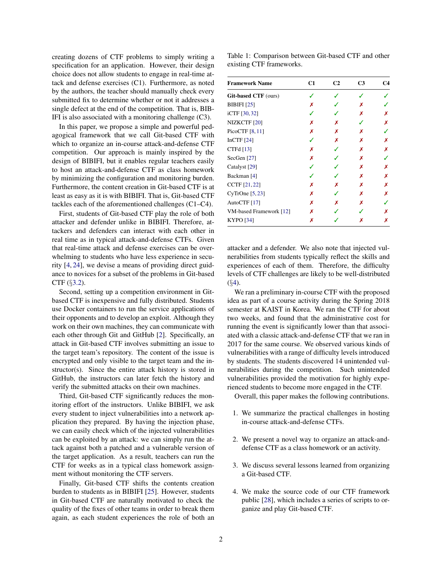creating dozens of CTF problems to simply writing a specification for an application. However, their design choice does not allow students to engage in real-time attack and defense exercises (C1). Furthermore, as noted by the authors, the teacher should manually check every submitted fix to determine whether or not it addresses a single defect at the end of the competition. That is, BIB-IFI is also associated with a monitoring challenge (C3).

In this paper, we propose a simple and powerful pedagogical framework that we call Git-based CTF with which to organize an in-course attack-and-defense CTF competition. Our approach is mainly inspired by the design of BIBIFI, but it enables regular teachers easily to host an attack-and-defense CTF as class homework by minimizing the configuration and monitoring burden. Furthermore, the content creation in Git-based CTF is at least as easy as it is with BIBIFI. That is, Git-based CTF tackles each of the aforementioned challenges (C1–C4).

First, students of Git-based CTF play the role of both attacker and defender unlike in BIBIFI. Therefore, attackers and defenders can interact with each other in real time as in typical attack-and-defense CTFs. Given that real-time attack and defense exercises can be overwhelming to students who have less experience in security [\[4,](#page-7-2) [24\]](#page-8-9), we devise a means of providing direct guidance to novices for a subset of the problems in Git-based CTF (§[3.2\)](#page-3-0).

Second, setting up a competition environment in Gitbased CTF is inexpensive and fully distributed. Students use Docker containers to run the service applications of their opponents and to develop an exploit. Although they work on their own machines, they can communicate with each other through Git and GitHub [\[2\]](#page-7-3). Specifically, an attack in Git-based CTF involves submitting an issue to the target team's repository. The content of the issue is encrypted and only visible to the target team and the instructor(s). Since the entire attack history is stored in GitHub, the instructors can later fetch the history and verify the submitted attacks on their own machines.

Third, Git-based CTF significantly reduces the monitoring effort of the instructors. Unlike BIBIFI, we ask every student to inject vulnerabilities into a network application they prepared. By having the injection phase, we can easily check which of the injected vulnerabilities can be exploited by an attack: we can simply run the attack against both a patched and a vulnerable version of the target application. As a result, teachers can run the CTF for weeks as in a typical class homework assignment without monitoring the CTF servers.

Finally, Git-based CTF shifts the contents creation burden to students as in BIBIFI [\[25\]](#page-8-3). However, students in Git-based CTF are naturally motivated to check the quality of the fixes of other teams in order to break them again, as each student experiences the role of both an

Table 1: Comparison between Git-based CTF and other existing CTF frameworks.

<span id="page-1-0"></span>

| <b>Framework Name</b>       | C1 | C <sub>2</sub> | C <sub>3</sub> | C4 |
|-----------------------------|----|----------------|----------------|----|
| <b>Git-based CTF</b> (ours) |    |                |                |    |
| <b>BIBIFI</b> [25]          | Х  |                | х              |    |
| iCTF [30, 32]               |    |                | х              | х  |
| NIZKCTF <sub>[20]</sub>     | х  | х              |                | х  |
| PicoCTF [8, 11]             | Х  | х              | x              |    |
| InCTF $[24]$                |    | Х              | Х              | х  |
| CTFd [13]                   | х  |                | х              | Х  |
| SecGen <sup>[27]</sup>      | х  |                | х              |    |
| Catalyst [29]               |    |                | x              | х  |
| Backman [4]                 |    |                | x              | х  |
| CCTF [21, 22]               | Х  | Х              | Х              | Х  |
| CyTrOne [5, 23]             | х  |                | х              | х  |
| AutoCTF [17]                | х  | х              | x              |    |
| VM-based Framework [12]     | х  |                |                | х  |
| <b>KYPO</b> [34]            | Х  |                | x              | х  |

attacker and a defender. We also note that injected vulnerabilities from students typically reflect the skills and experiences of each of them. Therefore, the difficulty levels of CTF challenges are likely to be well-distributed (§[4\)](#page-5-0).

We ran a preliminary in-course CTF with the proposed idea as part of a course activity during the Spring 2018 semester at KAIST in Korea. We ran the CTF for about two weeks, and found that the administrative cost for running the event is significantly lower than that associated with a classic attack-and-defense CTF that we ran in 2017 for the same course. We observed various kinds of vulnerabilities with a range of difficulty levels introduced by students. The students discovered 14 unintended vulnerabilities during the competition. Such unintended vulnerabilities provided the motivation for highly experienced students to become more engaged in the CTF.

Overall, this paper makes the following contributions.

- 1. We summarize the practical challenges in hosting in-course attack-and-defense CTFs.
- 2. We present a novel way to organize an attack-anddefense CTF as a class homework or an activity.
- 3. We discuss several lessons learned from organizing a Git-based CTF.
- 4. We make the source code of our CTF framework public [\[28\]](#page-8-18), which includes a series of scripts to organize and play Git-based CTF.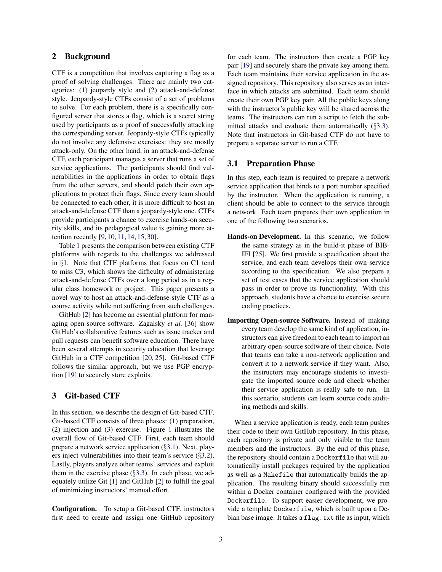## 2 Background

CTF is a competition that involves capturing a flag as a proof of solving challenges. There are mainly two categories: (1) jeopardy style and (2) attack-and-defense style. Jeopardy-style CTFs consist of a set of problems to solve. For each problem, there is a specifically configured server that stores a flag, which is a secret string used by participants as a proof of successfully attacking the corresponding server. Jeopardy-style CTFs typically do not involve any defensive exercises: they are mostly attack-only. On the other hand, in an attack-and-defense CTF, each participant manages a server that runs a set of service applications. The participants should find vulnerabilities in the applications in order to obtain flags from the other servers, and should patch their own applications to protect their flags. Since every team should be connected to each other, it is more difficult to host an attack-and-defense CTF than a jeopardy-style one. CTFs provide participants a chance to exercise hands-on security skills, and its pedagogical value is gaining more attention recently [\[9,](#page-8-19) [10,](#page-8-20) [11,](#page-8-1) [14,](#page-8-0) [15,](#page-8-21) [30\]](#page-8-10).

Table [1](#page-1-0) presents the comparison between existing CTF platforms with regards to the challenges we addressed in §[1.](#page-0-0) Note that CTF platforms that focus on C1 tend to miss C3, which shows the difficulty of administering attack-and-defense CTFs over a long period as in a regular class homework or project. This paper presents a novel way to host an attack-and-defense-style CTF as a course activity while not suffering from such challenges.

GitHub [\[2\]](#page-7-3) has become an essential platform for managing open-source software. Zagalsky *et al.* [\[36\]](#page-8-22) show GitHub's collaborative features such as issue tracker and pull requests can benefit software education. There have been several attempts in security education that leverage GitHub in a CTF competition [\[20,](#page-8-12) [25\]](#page-8-3). Git-based CTF follows the similar approach, but we use PGP encryption [\[19\]](#page-8-23) to securely store exploits.

#### 3 Git-based CTF

In this section, we describe the design of Git-based CTF. Git-based CTF consists of three phases: (1) preparation, (2) injection and (3) exercise. Figure [1](#page-3-1) illustrates the overall flow of Git-based CTF. First, each team should prepare a network service application (§[3.1\)](#page-2-0). Next, players inject vulnerabilities into their team's service (§[3.2\)](#page-3-0). Lastly, players analyze other teams' services and exploit them in the exercise phase  $(\S3.3)$  $(\S3.3)$ . In each phase, we adequately utilize Git [\[1\]](#page-7-5) and GitHub [\[2\]](#page-7-3) to fulfill the goal of minimizing instructors' manual effort.

Configuration. To setup a Git-based CTF, instructors first need to create and assign one GitHub repository for each team. The instructors then create a PGP key pair [\[19\]](#page-8-23) and securely share the private key among them. Each team maintains their service application in the assigned repository. This repository also serves as an interface in which attacks are submitted. Each team should create their own PGP key pair. All the public keys along with the instructor's public key will be shared across the teams. The instructors can run a script to fetch the submitted attacks and evaluate them automatically (§[3.3\)](#page-4-0). Note that instructors in Git-based CTF do not have to prepare a separate server to run a CTF.

## <span id="page-2-0"></span>3.1 Preparation Phase

In this step, each team is required to prepare a network service application that binds to a port number specified by the instructor. When the application is running, a client should be able to connect to the service through a network. Each team prepares their own application in one of the following two scenarios.

- Hands-on Development. In this scenario, we follow the same strategy as in the build-it phase of BIB-IFI [\[25\]](#page-8-3). We first provide a specification about the service, and each team develops their own service according to the specification. We also prepare a set of test cases that the service application should pass in order to prove its functionality. With this approach, students have a chance to exercise secure coding practices.
- Importing Open-source Software. Instead of making every team develop the same kind of application, instructors can give freedom to each team to import an arbitrary open-source software of their choice. Note that teams can take a non-network application and convert it to a network service if they want. Also, the instructors may encourage students to investigate the imported source code and check whether their service application is really safe to run. In this scenario, students can learn source code auditing methods and skills.

When a service application is ready, each team pushes their code to their own GitHub repository. In this phase, each repository is private and only visible to the team members and the instructors. By the end of this phase, the repository should contain a Dockerfile that will automatically install packages required by the application as well as a Makefile that automatically builds the application. The resulting binary should successfully run within a Docker container configured with the provided Dockerfile. To support easier development, we provide a template Dockerfile, which is built upon a Debian base image. It takes a flag.txt file as input, which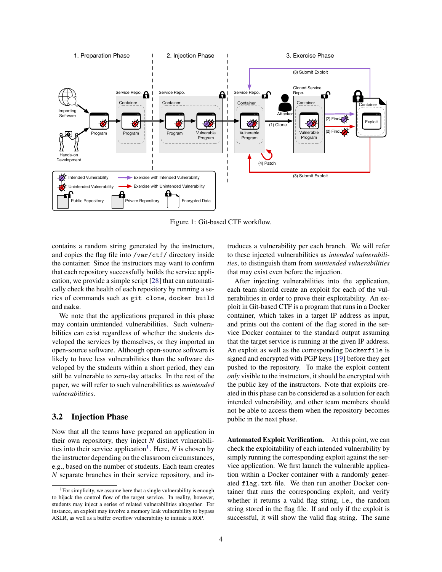<span id="page-3-1"></span>

Figure 1: Git-based CTF workflow.

contains a random string generated by the instructors, and copies the flag file into /var/ctf/ directory inside the container. Since the instructors may want to confirm that each repository successfully builds the service application, we provide a simple script [\[28\]](#page-8-18) that can automatically check the health of each repository by running a series of commands such as git clone, docker build and make.

We note that the applications prepared in this phase may contain unintended vulnerabilities. Such vulnerabilities can exist regardless of whether the students developed the services by themselves, or they imported an open-source software. Although open-source software is likely to have less vulnerabilities than the software developed by the students within a short period, they can still be vulnerable to zero-day attacks. In the rest of the paper, we will refer to such vulnerabilities as *unintended vulnerabilities*.

## <span id="page-3-0"></span>3.2 Injection Phase

Now that all the teams have prepared an application in their own repository, they inject *N* distinct vulnerabili-ties into their service application<sup>[1](#page-3-2)</sup>. Here,  $N$  is chosen by the instructor depending on the classroom circumstances, e.g., based on the number of students. Each team creates *N* separate branches in their service repository, and introduces a vulnerability per each branch. We will refer to these injected vulnerabilities as *intended vulnerabilities*, to distinguish them from *unintended vulnerabilities* that may exist even before the injection.

After injecting vulnerabilities into the application, each team should create an exploit for each of the vulnerabilities in order to prove their exploitability. An exploit in Git-based CTF is a program that runs in a Docker container, which takes in a target IP address as input, and prints out the content of the flag stored in the service Docker container to the standard output assuming that the target service is running at the given IP address. An exploit as well as the corresponding Dockerfile is signed and encrypted with PGP keys [\[19\]](#page-8-23) before they get pushed to the repository. To make the exploit content *only* visible to the instructors, it should be encrypted with the public key of the instructors. Note that exploits created in this phase can be considered as a solution for each intended vulnerability, and other team members should not be able to access them when the repository becomes public in the next phase.

Automated Exploit Verification. At this point, we can check the exploitability of each intended vulnerability by simply running the corresponding exploit against the service application. We first launch the vulnerable application within a Docker container with a randomly generated flag.txt file. We then run another Docker container that runs the corresponding exploit, and verify whether it returns a valid flag string, i.e., the random string stored in the flag file. If and only if the exploit is successful, it will show the valid flag string. The same

<span id="page-3-2"></span><sup>&</sup>lt;sup>1</sup>For simplicity, we assume here that a single vulnerability is enough to hijack the control flow of the target service. In reality, however, students may inject a series of related vulnerabilities altogether. For instance, an exploit may involve a memory leak vulnerability to bypass ASLR, as well as a buffer overflow vulnerability to initiate a ROP.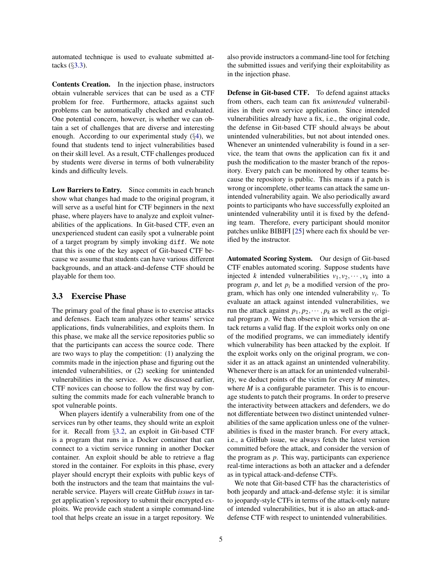automated technique is used to evaluate submitted attacks (§[3.3\)](#page-4-0).

Contents Creation. In the injection phase, instructors obtain vulnerable services that can be used as a CTF problem for free. Furthermore, attacks against such problems can be automatically checked and evaluated. One potential concern, however, is whether we can obtain a set of challenges that are diverse and interesting enough. According to our experimental study  $(\S4)$  $(\S4)$ , we found that students tend to inject vulnerabilities based on their skill level. As a result, CTF challenges produced by students were diverse in terms of both vulnerability kinds and difficulty levels.

Low Barriers to Entry. Since commits in each branch show what changes had made to the original program, it will serve as a useful hint for CTF beginners in the next phase, where players have to analyze and exploit vulnerabilities of the applications. In Git-based CTF, even an unexperienced student can easily spot a vulnerable point of a target program by simply invoking diff. We note that this is one of the key aspect of Git-based CTF because we assume that students can have various different backgrounds, and an attack-and-defense CTF should be playable for them too.

#### <span id="page-4-0"></span>3.3 Exercise Phase

The primary goal of the final phase is to exercise attacks and defenses. Each team analyzes other teams' service applications, finds vulnerabilities, and exploits them. In this phase, we make all the service repositories public so that the participants can access the source code. There are two ways to play the competition: (1) analyzing the commits made in the injection phase and figuring out the intended vulnerabilities, or (2) seeking for unintended vulnerabilities in the service. As we discussed earlier, CTF novices can choose to follow the first way by consulting the commits made for each vulnerable branch to spot vulnerable points.

When players identify a vulnerability from one of the services run by other teams, they should write an exploit for it. Recall from §[3.2,](#page-3-0) an exploit in Git-based CTF is a program that runs in a Docker container that can connect to a victim service running in another Docker container. An exploit should be able to retrieve a flag stored in the container. For exploits in this phase, every player should encrypt their exploits with public keys of both the instructors and the team that maintains the vulnerable service. Players will create GitHub *issues* in target application's repository to submit their encrypted exploits. We provide each student a simple command-line tool that helps create an issue in a target repository. We also provide instructors a command-line tool for fetching the submitted issues and verifying their exploitability as in the injection phase.

Defense in Git-based CTF. To defend against attacks from others, each team can fix *unintended* vulnerabilities in their own service application. Since intended vulnerabilities already have a fix, i.e., the original code, the defense in Git-based CTF should always be about unintended vulnerabilities, but not about intended ones. Whenever an unintended vulnerability is found in a service, the team that owns the application can fix it and push the modification to the master branch of the repository. Every patch can be monitored by other teams because the repository is public. This means if a patch is wrong or incomplete, other teams can attack the same unintended vulnerability again. We also periodically award points to participants who have successfully exploited an unintended vulnerability until it is fixed by the defending team. Therefore, every participant should monitor patches unlike BIBIFI [\[25\]](#page-8-3) where each fix should be verified by the instructor.

Automated Scoring System. Our design of Git-based CTF enables automated scoring. Suppose students have injected *k* intended vulnerabilities  $v_1, v_2, \dots, v_k$  into a program  $p$ , and let  $p_i$  be a modified version of the program, which has only one intended vulnerability  $v_i$ . To evaluate an attack against intended vulnerabilities, we run the attack against  $p_1, p_2, \dots, p_k$  as well as the original program *p*. We then observe in which version the attack returns a valid flag. If the exploit works only on one of the modified programs, we can immediately identify which vulnerability has been attacked by the exploit. If the exploit works only on the original program, we consider it as an attack against an unintended vulnerability. Whenever there is an attack for an unintended vulnerability, we deduct points of the victim for every *M* minutes, where  $M$  is a configurable parameter. This is to encourage students to patch their programs. In order to preserve the interactivity between attackers and defenders, we do not differentiate between two distinct unintended vulnerabilities of the same application unless one of the vulnerabilities is fixed in the master branch. For every attack, i.e., a GitHub issue, we always fetch the latest version committed before the attack, and consider the version of the program as *p*. This way, participants can experience real-time interactions as both an attacker and a defender as in typical attack-and-defense CTFs.

We note that Git-based CTF has the characteristics of both jeopardy and attack-and-defense style: it is similar to jeopardy-style CTFs in terms of the attack-only nature of intended vulnerabilities, but it is also an attack-anddefense CTF with respect to unintended vulnerabilities.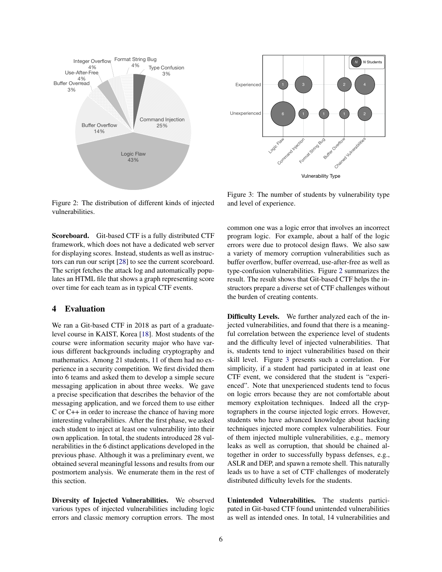<span id="page-5-1"></span>

<span id="page-5-2"></span>1  $1$ 4 Unexperienced Experienced Vulnerability Type Chairea Vulnerabilities Logic Flaw Command Injection Format String Bug Overhow *N N* Stude

Figure 2: The distribution of different kinds of injected vulnerabilities.

Scoreboard. Git-based CTF is a fully distributed CTF framework, which does not have a dedicated web server for displaying scores. Instead, students as well as instructors can run our script [\[28\]](#page-8-18) to see the current scoreboard. The script fetches the attack log and automatically populates an HTML file that shows a graph representing score over time for each team as in typical CTF events.

#### <span id="page-5-0"></span>4 Evaluation

We ran a Git-based CTF in 2018 as part of a graduatelevel course in KAIST, Korea [\[18\]](#page-8-24). Most students of the course were information security major who have various different backgrounds including cryptography and mathematics. Among 21 students, 11 of them had no experience in a security competition. We first divided them into 6 teams and asked them to develop a simple secure messaging application in about three weeks. We gave a precise specification that describes the behavior of the messaging application, and we forced them to use either C or C++ in order to increase the chance of having more interesting vulnerabilities. After the first phase, we asked each student to inject at least one vulnerability into their own application. In total, the students introduced 28 vulnerabilities in the 6 distinct applications developed in the previous phase. Although it was a preliminary event, we obtained several meaningful lessons and results from our postmortem analysis. We enumerate them in the rest of this section.

Diversity of Injected Vulnerabilities. We observed various types of injected vulnerabilities including logic errors and classic memory corruption errors. The most

Figure 3: The number of students by vulnerability type and level of experience.

common one was a logic error that involves an incorrect program logic. For example, about a half of the logic errors were due to protocol design flaws. We also saw a variety of memory corruption vulnerabilities such as buffer overflow, buffer overread, use-after-free as well as type-confusion vulnerabilities. Figure [2](#page-5-1) summarizes the result. The result shows that Git-based CTF helps the instructors prepare a diverse set of CTF challenges without the burden of creating contents.

Difficulty Levels. We further analyzed each of the injected vulnerabilities, and found that there is a meaningful correlation between the experience level of students and the difficulty level of injected vulnerabilities. That is, students tend to inject vulnerabilities based on their skill level. Figure [3](#page-5-2) presents such a correlation. For simplicity, if a student had participated in at least one CTF event, we considered that the student is "experienced". Note that unexperienced students tend to focus on logic errors because they are not comfortable about memory exploitation techniques. Indeed all the cryptographers in the course injected logic errors. However, students who have advanced knowledge about hacking techniques injected more complex vulnerabilities. Four of them injected multiple vulnerabilities, e.g., memory leaks as well as corruption, that should be chained altogether in order to successfully bypass defenses, e.g., ASLR and DEP, and spawn a remote shell. This naturally leads us to have a set of CTF challenges of moderately distributed difficulty levels for the students.

Unintended Vulnerabilities. The students participated in Git-based CTF found unintended vulnerabilities as well as intended ones. In total, 14 vulnerabilities and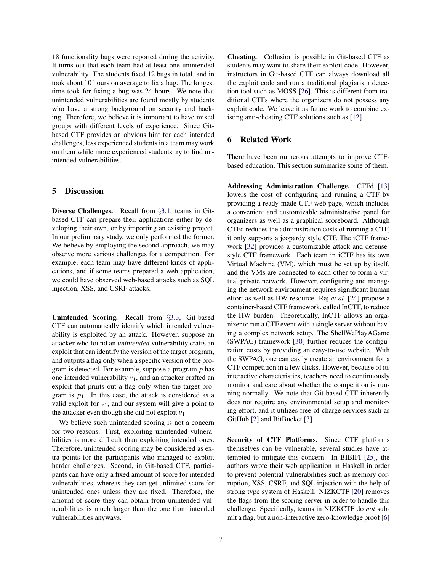18 functionality bugs were reported during the activity. It turns out that each team had at least one unintended vulnerability. The students fixed 12 bugs in total, and in took about 10 hours on average to fix a bug. The longest time took for fixing a bug was 24 hours. We note that unintended vulnerabilities are found mostly by students who have a strong background on security and hacking. Therefore, we believe it is important to have mixed groups with different levels of experience. Since Gitbased CTF provides an obvious hint for each intended challenges, less experienced students in a team may work on them while more experienced students try to find unintended vulnerabilities.

## 5 Discussion

Diverse Challenges. Recall from §[3.1,](#page-2-0) teams in Gitbased CTF can prepare their applications either by developing their own, or by importing an existing project. In our preliminary study, we only performed the former. We believe by employing the second approach, we may observe more various challenges for a competition. For example, each team may have different kinds of applications, and if some teams prepared a web application, we could have observed web-based attacks such as SQL injection, XSS, and CSRF attacks.

Unintended Scoring. Recall from §[3.3,](#page-4-0) Git-based CTF can automatically identify which intended vulnerability is exploited by an attack. However, suppose an attacker who found an *unintended* vulnerability crafts an exploit that can identify the version of the target program, and outputs a flag only when a specific version of the program is detected. For example, suppose a program *p* has one intended vulnerability  $v_1$ , and an attacker crafted an exploit that prints out a flag only when the target program is  $p_1$ . In this case, the attack is considered as a valid exploit for  $v_1$ , and our system will give a point to the attacker even though she did not exploit  $v_1$ .

We believe such unintended scoring is not a concern for two reasons. First, exploiting unintended vulnerabilities is more difficult than exploiting intended ones. Therefore, unintended scoring may be considered as extra points for the participants who managed to exploit harder challenges. Second, in Git-based CTF, participants can have only a fixed amount of score for intended vulnerabilities, whereas they can get unlimited score for unintended ones unless they are fixed. Therefore, the amount of score they can obtain from unintended vulnerabilities is much larger than the one from intended vulnerabilities anyways.

Cheating. Collusion is possible in Git-based CTF as students may want to share their exploit code. However, instructors in Git-based CTF can always download all the exploit code and run a traditional plagiarism detection tool such as MOSS [\[26\]](#page-8-25). This is different from traditional CTFs where the organizers do not possess any exploit code. We leave it as future work to combine existing anti-cheating CTF solutions such as [\[12\]](#page-8-16).

# 6 Related Work

There have been numerous attempts to improve CTFbased education. This section summarize some of them.

Addressing Administration Challenge. CTFd [\[13\]](#page-8-4) lowers the cost of configuring and running a CTF by providing a ready-made CTF web page, which includes a convenient and customizable administrative panel for organizers as well as a graphical scoreboard. Although CTFd reduces the administration costs of running a CTF, it only supports a jeopardy style CTF. The iCTF framework [\[32\]](#page-8-11) provides a customizable attack-and-defensestyle CTF framework. Each team in iCTF has its own Virtual Machine (VM), which must be set up by itself, and the VMs are connected to each other to form a virtual private network. However, configuring and managing the network environment requires significant human effort as well as HW resource. Raj *et al.* [\[24\]](#page-8-9) propose a container-based CTF framework, called InCTF, to reduce the HW burden. Theoretically, InCTF allows an organizer to run a CTF event with a single server without having a complex network setup. The ShellWePlayAGame (SWPAG) framework [\[30\]](#page-8-10) further reduces the configuration costs by providing an easy-to-use website. With the SWPAG, one can easily create an environment for a CTF competition in a few clicks. However, because of its interactive characteristics, teachers need to continuously monitor and care about whether the competition is running normally. We note that Git-based CTF inherently does not require any environmental setup and monitoring effort, and it utilizes free-of-charge services such as GitHub [\[2\]](#page-7-3) and BitBucket [\[3\]](#page-7-6).

Security of CTF Platforms. Since CTF platforms themselves can be vulnerable, several studies have attempted to mitigate this concern. In BIBIFI [\[25\]](#page-8-3), the authors wrote their web application in Haskell in order to prevent potential vulnerabilities such as memory corruption, XSS, CSRF, and SQL injection with the help of strong type system of Haskell. NIZKCTF [\[20\]](#page-8-12) removes the flags from the scoring server in order to handle this challenge. Specifically, teams in NIZKCTF do *not* submit a flag, but a non-interactive zero-knowledge proof [\[6\]](#page-7-7)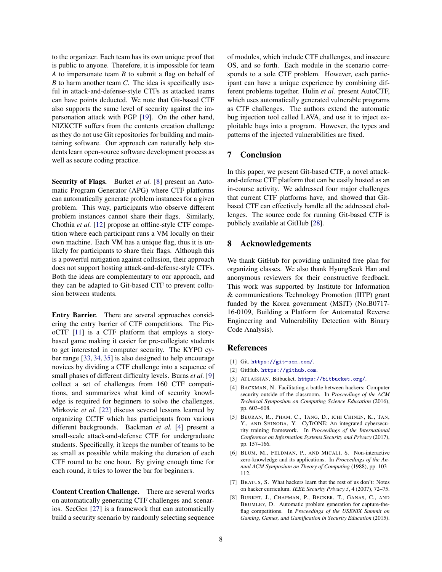to the organizer. Each team has its own unique proof that is public to anyone. Therefore, it is impossible for team *A* to impersonate team *B* to submit a flag on behalf of *B* to harm another team *C*. The idea is specifically useful in attack-and-defense-style CTFs as attacked teams can have points deducted. We note that Git-based CTF also supports the same level of security against the impersonation attack with PGP [\[19\]](#page-8-23). On the other hand, NIZKCTF suffers from the contents creation challenge as they do not use Git repositories for building and maintaining software. Our approach can naturally help students learn open-source software development process as well as secure coding practice.

Security of Flags. Burket et al. [\[8\]](#page-7-4) present an Automatic Program Generator (APG) where CTF platforms can automatically generate problem instances for a given problem. This way, participants who observe different problem instances cannot share their flags. Similarly, Chothia *et al.* [\[12\]](#page-8-16) propose an offline-style CTF competition where each participant runs a VM locally on their own machine. Each VM has a unique flag, thus it is unlikely for participants to share their flags. Although this is a powerful mitigation against collusion, their approach does not support hosting attack-and-defense-style CTFs. Both the ideas are complementary to our approach, and they can be adapted to Git-based CTF to prevent collusion between students.

Entry Barrier. There are several approaches considering the entry barrier of CTF competitions. The PicoCTF [\[11\]](#page-8-1) is a CTF platform that employs a storybased game making it easier for pre-collegiate students to get interested in computer security. The KYPO cyber range [\[33,](#page-8-26) [34,](#page-8-17) [35\]](#page-8-27) is also designed to help encourage novices by dividing a CTF challenge into a sequence of small phases of different difficulty levels. Burns *et al.* [\[9\]](#page-8-19) collect a set of challenges from 160 CTF competitions, and summarizes what kind of security knowledge is required for beginners to solve the challenges. Mirkovic *et al.* [\[22\]](#page-8-15) discuss several lessons learned by organizing CCTF which has participants from various different backgrounds. Backman *et al.* [\[4\]](#page-7-2) present a small-scale attack-and-defense CTF for undergraduate students. Specifically, it keeps the number of teams to be as small as possible while making the duration of each CTF round to be one hour. By giving enough time for each round, it tries to lower the bar for beginners.

Content Creation Challenge. There are several works on automatically generating CTF challenges and scenarios. SecGen [\[27\]](#page-8-13) is a framework that can automatically build a security scenario by randomly selecting sequence of modules, which include CTF challenges, and insecure OS, and so forth. Each module in the scenario corresponds to a sole CTF problem. However, each participant can have a unique experience by combining different problems together. Hulin *et al.* present AutoCTF, which uses automatically generated vulnerable programs as CTF challenges. The authors extend the automatic bug injection tool called LAVA, and use it to inject exploitable bugs into a program. However, the types and patterns of the injected vulnerabilities are fixed.

### 7 Conclusion

In this paper, we present Git-based CTF, a novel attackand-defense CTF platform that can be easily hosted as an in-course activity. We addressed four major challenges that current CTF platforms have, and showed that Gitbased CTF can effectively handle all the addressed challenges. The source code for running Git-based CTF is publicly available at GitHub [\[28\]](#page-8-18).

#### 8 Acknowledgements

We thank GitHub for providing unlimited free plan for organizing classes. We also thank HyungSeok Han and anonymous reviewers for their constructive feedback. This work was supported by Institute for Information & communications Technology Promotion (IITP) grant funded by the Korea government (MSIT) (No.B0717- 16-0109, Building a Platform for Automated Reverse Engineering and Vulnerability Detection with Binary Code Analysis).

#### References

- <span id="page-7-5"></span>[1] Git. <https://git-scm.com/>.
- <span id="page-7-3"></span>[2] GitHub. <https://github.com>.
- <span id="page-7-6"></span>[3] ATLASSIAN. Bitbucket. <https://bitbucket.org/>.
- <span id="page-7-2"></span>[4] BACKMAN, N. Facilitating a battle between hackers: Computer security outside of the classroom. In *Proceedings of the ACM Technical Symposium on Computing Science Education* (2016), pp. 603–608.
- <span id="page-7-1"></span>[5] BEURAN, R., PHAM, C., TANG, D., ICHI CHINEN, K., TAN, Y., AND SHINODA, Y. CyTrONE: An integrated cybersecurity training framework. In *Proceedings of the International Conference on Information Systems Security and Privacy* (2017), pp. 157–166.
- <span id="page-7-7"></span>[6] BLUM, M., FELDMAN, P., AND MICALI, S. Non-interactive zero-knowledge and its applications. In *Proceedings of the Annual ACM Symposium on Theory of Computing* (1988), pp. 103– 112.
- <span id="page-7-0"></span>[7] BRATUS, S. What hackers learn that the rest of us don't: Notes on hacker curriculum. *IEEE Security Privacy 5*, 4 (2007), 72–75.
- <span id="page-7-4"></span>[8] BURKET, J., CHAPMAN, P., BECKER, T., GANAS, C., AND BRUMLEY, D. Automatic problem generation for capture-theflag competitions. In *Proceedings of the USENIX Summit on Gaming, Games, and Gamification in Security Education* (2015).